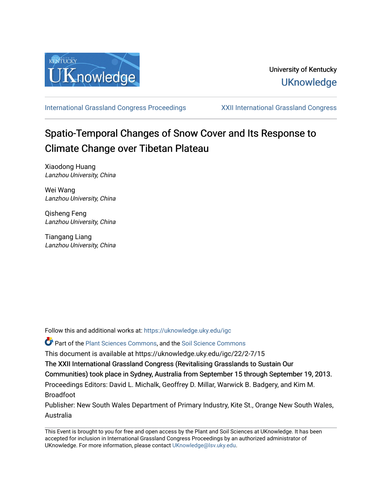

[International Grassland Congress Proceedings](https://uknowledge.uky.edu/igc) [XXII International Grassland Congress](https://uknowledge.uky.edu/igc/22) 

# Spatio-Temporal Changes of Snow Cover and Its Response to Climate Change over Tibetan Plateau

Xiaodong Huang Lanzhou University, China

Wei Wang Lanzhou University, China

Qisheng Feng Lanzhou University, China

Tiangang Liang Lanzhou University, China

Follow this and additional works at: [https://uknowledge.uky.edu/igc](https://uknowledge.uky.edu/igc?utm_source=uknowledge.uky.edu%2Figc%2F22%2F2-7%2F15&utm_medium=PDF&utm_campaign=PDFCoverPages) 

Part of the [Plant Sciences Commons](http://network.bepress.com/hgg/discipline/102?utm_source=uknowledge.uky.edu%2Figc%2F22%2F2-7%2F15&utm_medium=PDF&utm_campaign=PDFCoverPages), and the [Soil Science Commons](http://network.bepress.com/hgg/discipline/163?utm_source=uknowledge.uky.edu%2Figc%2F22%2F2-7%2F15&utm_medium=PDF&utm_campaign=PDFCoverPages) 

This document is available at https://uknowledge.uky.edu/igc/22/2-7/15

The XXII International Grassland Congress (Revitalising Grasslands to Sustain Our

Communities) took place in Sydney, Australia from September 15 through September 19, 2013.

Proceedings Editors: David L. Michalk, Geoffrey D. Millar, Warwick B. Badgery, and Kim M. Broadfoot

Publisher: New South Wales Department of Primary Industry, Kite St., Orange New South Wales, Australia

This Event is brought to you for free and open access by the Plant and Soil Sciences at UKnowledge. It has been accepted for inclusion in International Grassland Congress Proceedings by an authorized administrator of UKnowledge. For more information, please contact [UKnowledge@lsv.uky.edu](mailto:UKnowledge@lsv.uky.edu).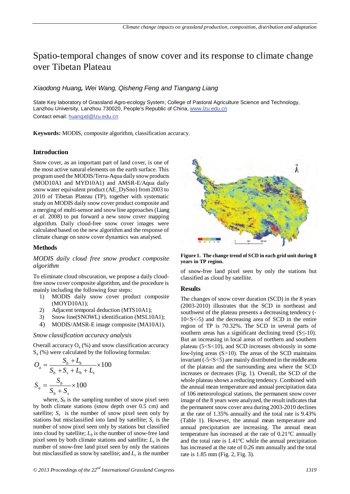# Spatio-temporal changes of snow cover and its response to climate change over Tibetan Plateau

# *Xiaodong Huang, Wei Wang, Qisheng Feng and Tiangang Liang*

State Key laboratory of Grassland Agro-ecology System; College of Pastoral Agriculture Science and Technology, Lanzhou University, Lanzhou 730020, People's Republic of China, <u>www.lzu.edu.cn</u> Contact email: <u>huangxd@lzu.edu.cn</u>

**Keywords:** MODIS, composite algorithm, classification accuracy.

# **Introduction**

Snow cover, as an important part of land cover, is one of the most active natural elements on the earth surface. This program used the MODIS/Terra-Aqua daily snow products (MOD10A1 and MYD10A1) and AMSR-E/Aqua daily snow water equivalent product (AE\_DySno) from 2003 to 2010 of Tibetan Plateau (TP), together with systematic study on MODIS daily snow cover product composite and a merging of multi-sensor and snow line approaches(Liang *et al.* 2008) to put forward a new snow cover mapping algorithm. Daily cloud-free snow cover images were calculated based on the new algorithm and the response of climate change on snow cover dynamics was analysed.

# **Methods**

### *MODIS daily cloud free snow product composite algorithm*

To eliminate cloud obscuration, we propose a daily cloudfree snow cover composite algorithm, and the procedure is mainly including the following four steps:

- 1) MODIS daily snow cover product composite (MOYD10A1);
- 2) Adjacent temporal deduction (MTS10A1);
- 3) Snow line(SNOWL) identification (MSL10A1);
- 4) MODIS/AMSR-E image composite (MA10A1).

#### *Snow classification accuracy analysis*

Overall accuracy  $O_a$  (%) and snow classification accuracy  $S<sub>a</sub>$  (%) were calculated by the following formulas:

$$
O_a = \frac{S_b + L_b}{S_b + S_s + L_b + L_s} \times 100
$$

$$
S_a = \frac{S_b}{S_b + S_s} \times 100
$$

where,  $S_b$  is the sampling number of snow pixel seen by both climate stations (snow depth over 0.5 cm) and satellite;  $S_s$  is the number of snow pixel seen only by stations but misclassified into land by satellite;  $S_c$  is the number of snow pixel seen only by stations but classified into cloud by satellite;  $L<sub>b</sub>$  is the number of snow-free land pixel seen by both climate stations and satellite; *Ls* is the number of snow-free land pixel seen by only the stations but misclassified as snow by satellite; and  $L_c$  is the number



**Figure 1. The change trend of SCD in each grid unit during 8 years in TP region.** 

of snow-free land pixel seen by only the stations but classified as cloud by satellite.

#### **Results**

The changes of snow cover duration (SCD) in the 8 years (2003-2010) illustrates that the SCD in northeast and southwest of the plateau presents a decreasing tendency (-  $10 < S < -5$ ) and the decreasing area of SCD in the entire region of TP is 70.32%. The SCD in several parts of southern areas has a significant declining trend  $(S \leq -10)$ . But an increasing in local areas of northern and southern plateau (5<S<10), and SCD increases obviously in some low-lying areas (S>10). The areas of the SCD maintains invariant (-5<S<5) are mainly distributed in the middle area of the plateau and the surrounding area where the SCD increases or decreases (Fig. 1). Overall, the SCD of the whole plateau shows a reducing tendency. Combined with the annual mean temperature and annual precipitation data of 106 meteorological stations, the permanent snow cover image of the 8 years were analyzed, the result indicates that the permanent snow cover area during 2003-2010 declines at the rate of 1.35% annually and the total rate is 9.43% (Table 1). However, the annual mean temperature and annual precipitation are increasing. The annual mean temperature has increased at the rate of 0.21°C annually and the total rate is 1.41°C while the annual precipitation has increased at the rate of 0.26 mm annually and the total rate is 1.85 mm (Fig. 2, Fig. 3).